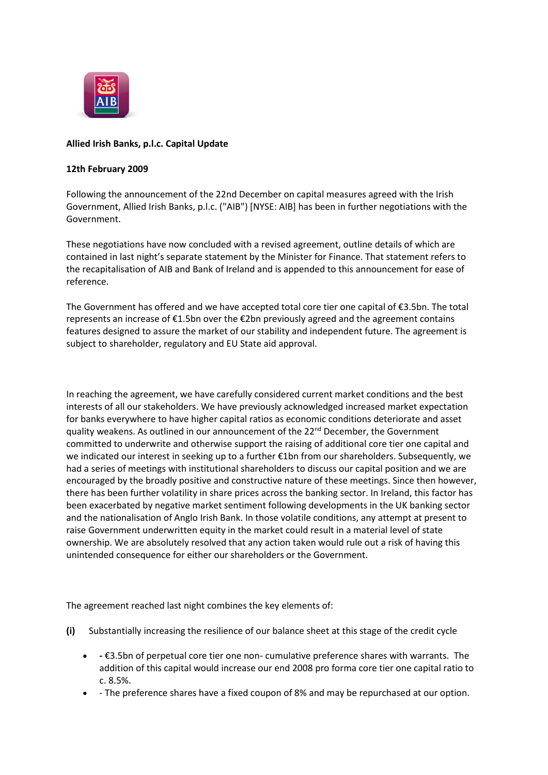

# **Allied Irish Banks, p.l.c. Capital Update**

#### **12th February 2009**

Following the announcement of the 22nd December on capital measures agreed with the Irish Government, Allied Irish Banks, p.l.c. ("AIB") [NYSE: AIB] has been in further negotiations with the Government.

These negotiations have now concluded with a revised agreement, outline details of which are contained in last night's separate statement by the Minister for Finance. That statement refers to the recapitalisation of AIB and Bank of Ireland and is appended to this announcement for ease of reference.

The Government has offered and we have accepted total core tier one capital of €3.5bn. The total represents an increase of €1.5bn over the €2bn previously agreed and the agreement contains features designed to assure the market of our stability and independent future. The agreement is subject to shareholder, regulatory and EU State aid approval.

In reaching the agreement, we have carefully considered current market conditions and the best interests of all our stakeholders. We have previously acknowledged increased market expectation for banks everywhere to have higher capital ratios as economic conditions deteriorate and asset quality weakens. As outlined in our announcement of the 22<sup>nd</sup> December, the Government committed to underwrite and otherwise support the raising of additional core tier one capital and we indicated our interest in seeking up to a further €1bn from our shareholders. Subsequently, we had a series of meetings with institutional shareholders to discuss our capital position and we are encouraged by the broadly positive and constructive nature of these meetings. Since then however, there has been further volatility in share prices across the banking sector. In Ireland, this factor has been exacerbated by negative market sentiment following developments in the UK banking sector and the nationalisation of Anglo Irish Bank. In those volatile conditions, any attempt at present to raise Government underwritten equity in the market could result in a material level of state ownership. We are absolutely resolved that any action taken would rule out a risk of having this unintended consequence for either our shareholders or the Government.

The agreement reached last night combines the key elements of:

- **(i)** Substantially increasing the resilience of our balance sheet at this stage of the credit cycle
	- **-** €3.5bn of perpetual core tier one non- cumulative preference shares with warrants. The addition of this capital would increase our end 2008 pro forma core tier one capital ratio to c. 8.5%.
	- The preference shares have a fixed coupon of 8% and may be repurchased at our option.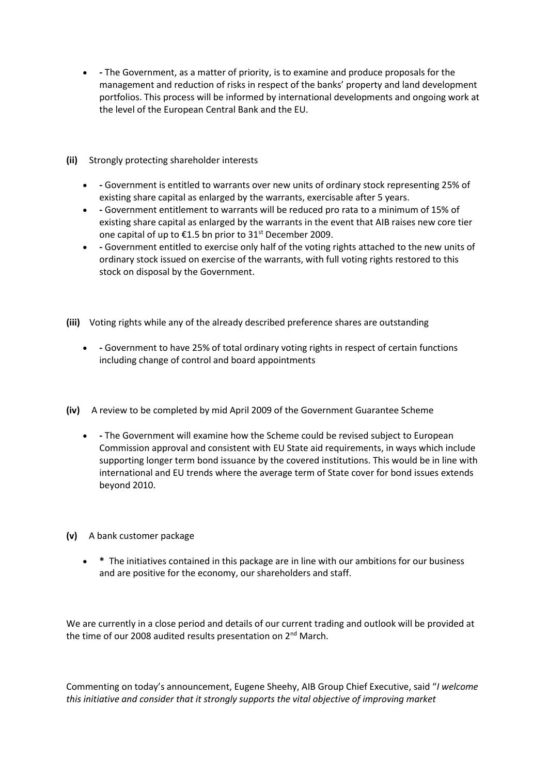- **-** The Government, as a matter of priority, is to examine and produce proposals for the management and reduction of risks in respect of the banks' property and land development portfolios. This process will be informed by international developments and ongoing work at the level of the European Central Bank and the EU.
- **(ii)** Strongly protecting shareholder interests
	- **-** Government is entitled to warrants over new units of ordinary stock representing 25% of existing share capital as enlarged by the warrants, exercisable after 5 years.
	- **-** Government entitlement to warrants will be reduced pro rata to a minimum of 15% of existing share capital as enlarged by the warrants in the event that AIB raises new core tier one capital of up to  $\epsilon$ 1.5 bn prior to 31<sup>st</sup> December 2009.
	- **-** Government entitled to exercise only half of the voting rights attached to the new units of ordinary stock issued on exercise of the warrants, with full voting rights restored to this stock on disposal by the Government.
- **(iii)** Voting rights while any of the already described preference shares are outstanding
	- **-** Government to have 25% of total ordinary voting rights in respect of certain functions including change of control and board appointments
- **(iv)** A review to be completed by mid April 2009 of the Government Guarantee Scheme
	- **-** The Government will examine how the Scheme could be revised subject to European Commission approval and consistent with EU State aid requirements, in ways which include supporting longer term bond issuance by the covered institutions. This would be in line with international and EU trends where the average term of State cover for bond issues extends beyond 2010.
- **(v)** A bank customer package
	- **\*** The initiatives contained in this package are in line with our ambitions for our business and are positive for the economy, our shareholders and staff.

We are currently in a close period and details of our current trading and outlook will be provided at the time of our 2008 audited results presentation on 2<sup>nd</sup> March.

Commenting on today's announcement, Eugene Sheehy, AIB Group Chief Executive, said "*I welcome this initiative and consider that it strongly supports the vital objective of improving market*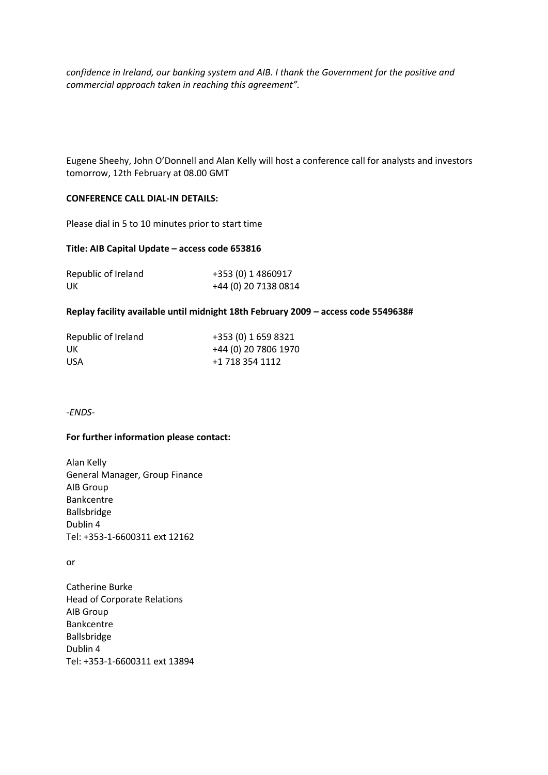*confidence in Ireland, our banking system and AIB. I thank the Government for the positive and commercial approach taken in reaching this agreement".*

Eugene Sheehy, John O'Donnell and Alan Kelly will host a conference call for analysts and investors tomorrow, 12th February at 08.00 GMT

### **CONFERENCE CALL DIAL-IN DETAILS:**

Please dial in 5 to 10 minutes prior to start time

#### **Title: AIB Capital Update – access code 653816**

| Republic of Ireland | +353 (0) 1 4860917   |
|---------------------|----------------------|
| UK                  | +44 (0) 20 7138 0814 |

#### **Replay facility available until midnight 18th February 2009 – access code 5549638#**

| Republic of Ireland | +353 (0) 1 659 8321  |
|---------------------|----------------------|
| UK                  | +44 (0) 20 7806 1970 |
| <b>USA</b>          | +1 718 354 1112      |

*-ENDS-*

#### **For further information please contact:**

Alan Kelly General Manager, Group Finance AIB Group Bankcentre Ballsbridge Dublin 4 Tel: +353-1-6600311 ext 12162

or

Catherine Burke Head of Corporate Relations AIB Group Bankcentre Ballsbridge Dublin 4 Tel: +353-1-6600311 ext 13894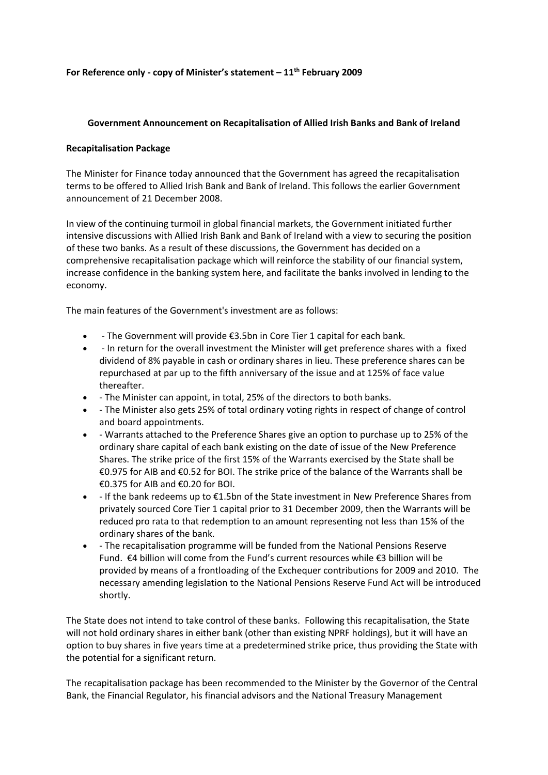### **For Reference only - copy of Minister's statement – 11th February 2009**

## **Government Announcement on Recapitalisation of Allied Irish Banks and Bank of Ireland**

## **Recapitalisation Package**

The Minister for Finance today announced that the Government has agreed the recapitalisation terms to be offered to Allied Irish Bank and Bank of Ireland. This follows the earlier Government announcement of 21 December 2008.

In view of the continuing turmoil in global financial markets, the Government initiated further intensive discussions with Allied Irish Bank and Bank of Ireland with a view to securing the position of these two banks. As a result of these discussions, the Government has decided on a comprehensive recapitalisation package which will reinforce the stability of our financial system, increase confidence in the banking system here, and facilitate the banks involved in lending to the economy.

The main features of the Government's investment are as follows:

- The Government will provide €3.5bn in Core Tier 1 capital for each bank.
- In return for the overall investment the Minister will get preference shares with a fixed dividend of 8% payable in cash or ordinary shares in lieu. These preference shares can be repurchased at par up to the fifth anniversary of the issue and at 125% of face value thereafter.
- The Minister can appoint, in total, 25% of the directors to both banks.
- The Minister also gets 25% of total ordinary voting rights in respect of change of control and board appointments.
- Warrants attached to the Preference Shares give an option to purchase up to 25% of the ordinary share capital of each bank existing on the date of issue of the New Preference Shares. The strike price of the first 15% of the Warrants exercised by the State shall be €0.975 for AIB and €0.52 for BOI. The strike price of the balance of the Warrants shall be €0.375 for AIB and €0.20 for BOI.
- If the bank redeems up to €1.5bn of the State investment in New Preference Shares from privately sourced Core Tier 1 capital prior to 31 December 2009, then the Warrants will be reduced pro rata to that redemption to an amount representing not less than 15% of the ordinary shares of the bank.
- The recapitalisation programme will be funded from the National Pensions Reserve Fund. €4 billion will come from the Fund's current resources while €3 billion will be provided by means of a frontloading of the Exchequer contributions for 2009 and 2010. The necessary amending legislation to the National Pensions Reserve Fund Act will be introduced shortly.

The State does not intend to take control of these banks. Following this recapitalisation, the State will not hold ordinary shares in either bank (other than existing NPRF holdings), but it will have an option to buy shares in five years time at a predetermined strike price, thus providing the State with the potential for a significant return.

The recapitalisation package has been recommended to the Minister by the Governor of the Central Bank, the Financial Regulator, his financial advisors and the National Treasury Management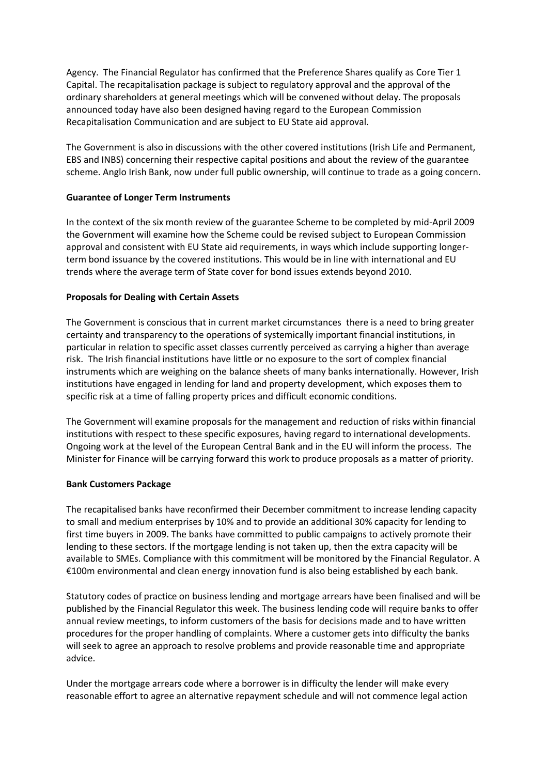Agency. The Financial Regulator has confirmed that the Preference Shares qualify as Core Tier 1 Capital. The recapitalisation package is subject to regulatory approval and the approval of the ordinary shareholders at general meetings which will be convened without delay. The proposals announced today have also been designed having regard to the European Commission Recapitalisation Communication and are subject to EU State aid approval.

The Government is also in discussions with the other covered institutions (Irish Life and Permanent, EBS and INBS) concerning their respective capital positions and about the review of the guarantee scheme. Anglo Irish Bank, now under full public ownership, will continue to trade as a going concern.

### **Guarantee of Longer Term Instruments**

In the context of the six month review of the guarantee Scheme to be completed by mid-April 2009 the Government will examine how the Scheme could be revised subject to European Commission approval and consistent with EU State aid requirements, in ways which include supporting longerterm bond issuance by the covered institutions. This would be in line with international and EU trends where the average term of State cover for bond issues extends beyond 2010.

# **Proposals for Dealing with Certain Assets**

The Government is conscious that in current market circumstances there is a need to bring greater certainty and transparency to the operations of systemically important financial institutions, in particular in relation to specific asset classes currently perceived as carrying a higher than average risk. The Irish financial institutions have little or no exposure to the sort of complex financial instruments which are weighing on the balance sheets of many banks internationally. However, Irish institutions have engaged in lending for land and property development, which exposes them to specific risk at a time of falling property prices and difficult economic conditions.

The Government will examine proposals for the management and reduction of risks within financial institutions with respect to these specific exposures, having regard to international developments. Ongoing work at the level of the European Central Bank and in the EU will inform the process. The Minister for Finance will be carrying forward this work to produce proposals as a matter of priority.

### **Bank Customers Package**

The recapitalised banks have reconfirmed their December commitment to increase lending capacity to small and medium enterprises by 10% and to provide an additional 30% capacity for lending to first time buyers in 2009. The banks have committed to public campaigns to actively promote their lending to these sectors. If the mortgage lending is not taken up, then the extra capacity will be available to SMEs. Compliance with this commitment will be monitored by the Financial Regulator. A €100m environmental and clean energy innovation fund is also being established by each bank.

Statutory codes of practice on business lending and mortgage arrears have been finalised and will be published by the Financial Regulator this week. The business lending code will require banks to offer annual review meetings, to inform customers of the basis for decisions made and to have written procedures for the proper handling of complaints. Where a customer gets into difficulty the banks will seek to agree an approach to resolve problems and provide reasonable time and appropriate advice.

Under the mortgage arrears code where a borrower is in difficulty the lender will make every reasonable effort to agree an alternative repayment schedule and will not commence legal action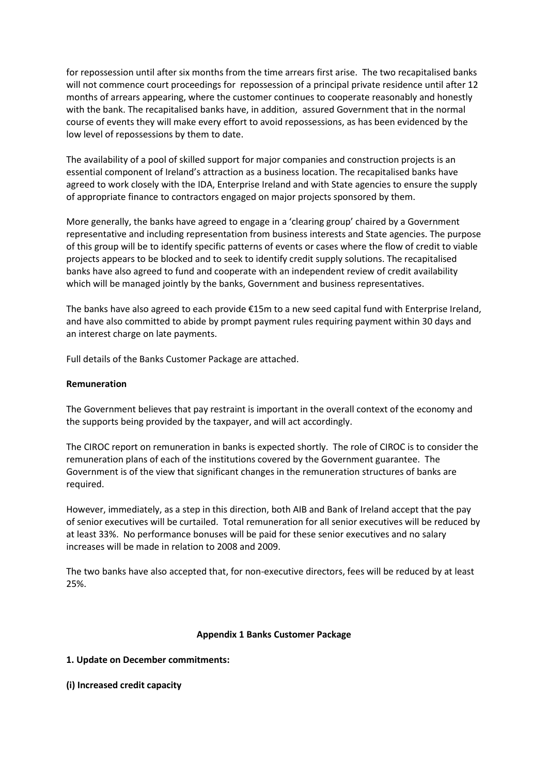for repossession until after six months from the time arrears first arise. The two recapitalised banks will not commence court proceedings for repossession of a principal private residence until after 12 months of arrears appearing, where the customer continues to cooperate reasonably and honestly with the bank. The recapitalised banks have, in addition, assured Government that in the normal course of events they will make every effort to avoid repossessions, as has been evidenced by the low level of repossessions by them to date.

The availability of a pool of skilled support for major companies and construction projects is an essential component of Ireland's attraction as a business location. The recapitalised banks have agreed to work closely with the IDA, Enterprise Ireland and with State agencies to ensure the supply of appropriate finance to contractors engaged on major projects sponsored by them.

More generally, the banks have agreed to engage in a 'clearing group' chaired by a Government representative and including representation from business interests and State agencies. The purpose of this group will be to identify specific patterns of events or cases where the flow of credit to viable projects appears to be blocked and to seek to identify credit supply solutions. The recapitalised banks have also agreed to fund and cooperate with an independent review of credit availability which will be managed jointly by the banks, Government and business representatives.

The banks have also agreed to each provide €15m to a new seed capital fund with Enterprise Ireland, and have also committed to abide by prompt payment rules requiring payment within 30 days and an interest charge on late payments.

Full details of the Banks Customer Package are attached.

### **Remuneration**

The Government believes that pay restraint is important in the overall context of the economy and the supports being provided by the taxpayer, and will act accordingly.

The CIROC report on remuneration in banks is expected shortly. The role of CIROC is to consider the remuneration plans of each of the institutions covered by the Government guarantee. The Government is of the view that significant changes in the remuneration structures of banks are required.

However, immediately, as a step in this direction, both AIB and Bank of Ireland accept that the pay of senior executives will be curtailed. Total remuneration for all senior executives will be reduced by at least 33%. No performance bonuses will be paid for these senior executives and no salary increases will be made in relation to 2008 and 2009.

The two banks have also accepted that, for non-executive directors, fees will be reduced by at least 25%.

### **Appendix 1 Banks Customer Package**

### **1. Update on December commitments:**

### **(i) Increased credit capacity**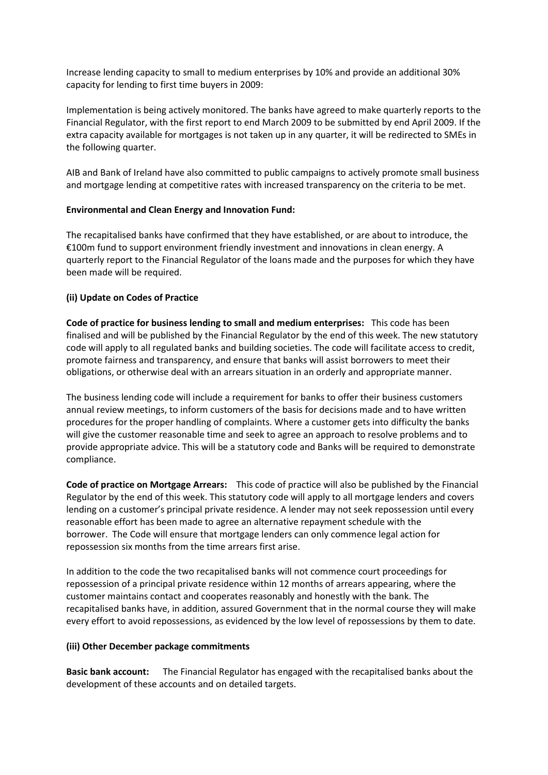Increase lending capacity to small to medium enterprises by 10% and provide an additional 30% capacity for lending to first time buyers in 2009:

Implementation is being actively monitored. The banks have agreed to make quarterly reports to the Financial Regulator, with the first report to end March 2009 to be submitted by end April 2009. If the extra capacity available for mortgages is not taken up in any quarter, it will be redirected to SMEs in the following quarter.

AIB and Bank of Ireland have also committed to public campaigns to actively promote small business and mortgage lending at competitive rates with increased transparency on the criteria to be met.

# **Environmental and Clean Energy and Innovation Fund:**

The recapitalised banks have confirmed that they have established, or are about to introduce, the €100m fund to support environment friendly investment and innovations in clean energy. A quarterly report to the Financial Regulator of the loans made and the purposes for which they have been made will be required.

# **(ii) Update on Codes of Practice**

**Code of practice for business lending to small and medium enterprises:** This code has been finalised and will be published by the Financial Regulator by the end of this week. The new statutory code will apply to all regulated banks and building societies. The code will facilitate access to credit, promote fairness and transparency, and ensure that banks will assist borrowers to meet their obligations, or otherwise deal with an arrears situation in an orderly and appropriate manner.

The business lending code will include a requirement for banks to offer their business customers annual review meetings, to inform customers of the basis for decisions made and to have written procedures for the proper handling of complaints. Where a customer gets into difficulty the banks will give the customer reasonable time and seek to agree an approach to resolve problems and to provide appropriate advice. This will be a statutory code and Banks will be required to demonstrate compliance.

**Code of practice on Mortgage Arrears:** This code of practice will also be published by the Financial Regulator by the end of this week. This statutory code will apply to all mortgage lenders and covers lending on a customer's principal private residence. A lender may not seek repossession until every reasonable effort has been made to agree an alternative repayment schedule with the borrower. The Code will ensure that mortgage lenders can only commence legal action for repossession six months from the time arrears first arise.

In addition to the code the two recapitalised banks will not commence court proceedings for repossession of a principal private residence within 12 months of arrears appearing, where the customer maintains contact and cooperates reasonably and honestly with the bank. The recapitalised banks have, in addition, assured Government that in the normal course they will make every effort to avoid repossessions, as evidenced by the low level of repossessions by them to date.

### **(iii) Other December package commitments**

**Basic bank account:** The Financial Regulator has engaged with the recapitalised banks about the development of these accounts and on detailed targets.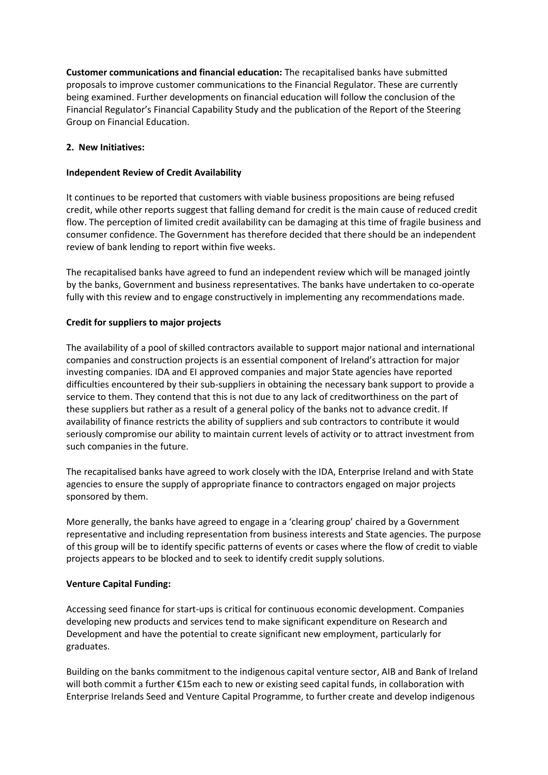**Customer communications and financial education:** The recapitalised banks have submitted proposals to improve customer communications to the Financial Regulator. These are currently being examined. Further developments on financial education will follow the conclusion of the Financial Regulator's Financial Capability Study and the publication of the Report of the Steering Group on Financial Education.

# **2. New Initiatives:**

## **Independent Review of Credit Availability**

It continues to be reported that customers with viable business propositions are being refused credit, while other reports suggest that falling demand for credit is the main cause of reduced credit flow. The perception of limited credit availability can be damaging at this time of fragile business and consumer confidence. The Government has therefore decided that there should be an independent review of bank lending to report within five weeks.

The recapitalised banks have agreed to fund an independent review which will be managed jointly by the banks, Government and business representatives. The banks have undertaken to co-operate fully with this review and to engage constructively in implementing any recommendations made.

# **Credit for suppliers to major projects**

The availability of a pool of skilled contractors available to support major national and international companies and construction projects is an essential component of Ireland's attraction for major investing companies. IDA and EI approved companies and major State agencies have reported difficulties encountered by their sub-suppliers in obtaining the necessary bank support to provide a service to them. They contend that this is not due to any lack of creditworthiness on the part of these suppliers but rather as a result of a general policy of the banks not to advance credit. If availability of finance restricts the ability of suppliers and sub contractors to contribute it would seriously compromise our ability to maintain current levels of activity or to attract investment from such companies in the future.

The recapitalised banks have agreed to work closely with the IDA, Enterprise Ireland and with State agencies to ensure the supply of appropriate finance to contractors engaged on major projects sponsored by them.

More generally, the banks have agreed to engage in a 'clearing group' chaired by a Government representative and including representation from business interests and State agencies. The purpose of this group will be to identify specific patterns of events or cases where the flow of credit to viable projects appears to be blocked and to seek to identify credit supply solutions.

### **Venture Capital Funding:**

Accessing seed finance for start-ups is critical for continuous economic development. Companies developing new products and services tend to make significant expenditure on Research and Development and have the potential to create significant new employment, particularly for graduates.

Building on the banks commitment to the indigenous capital venture sector, AIB and Bank of Ireland will both commit a further €15m each to new or existing seed capital funds, in collaboration with Enterprise Irelands Seed and Venture Capital Programme, to further create and develop indigenous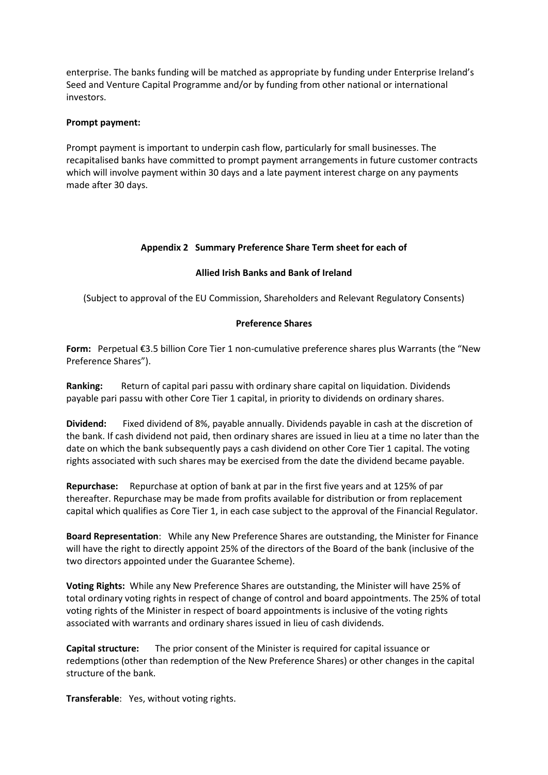enterprise. The banks funding will be matched as appropriate by funding under Enterprise Ireland's Seed and Venture Capital Programme and/or by funding from other national or international investors.

### **Prompt payment:**

Prompt payment is important to underpin cash flow, particularly for small businesses. The recapitalised banks have committed to prompt payment arrangements in future customer contracts which will involve payment within 30 days and a late payment interest charge on any payments made after 30 days.

# **Appendix 2 Summary Preference Share Term sheet for each of**

# **Allied Irish Banks and Bank of Ireland**

(Subject to approval of the EU Commission, Shareholders and Relevant Regulatory Consents)

### **Preference Shares**

**Form:** Perpetual €3.5 billion Core Tier 1 non-cumulative preference shares plus Warrants (the "New Preference Shares").

**Ranking:** Return of capital pari passu with ordinary share capital on liquidation. Dividends payable pari passu with other Core Tier 1 capital, in priority to dividends on ordinary shares.

**Dividend:** Fixed dividend of 8%, payable annually. Dividends payable in cash at the discretion of the bank. If cash dividend not paid, then ordinary shares are issued in lieu at a time no later than the date on which the bank subsequently pays a cash dividend on other Core Tier 1 capital. The voting rights associated with such shares may be exercised from the date the dividend became payable.

**Repurchase:** Repurchase at option of bank at par in the first five years and at 125% of par thereafter. Repurchase may be made from profits available for distribution or from replacement capital which qualifies as Core Tier 1, in each case subject to the approval of the Financial Regulator.

**Board Representation**: While any New Preference Shares are outstanding, the Minister for Finance will have the right to directly appoint 25% of the directors of the Board of the bank (inclusive of the two directors appointed under the Guarantee Scheme).

**Voting Rights:** While any New Preference Shares are outstanding, the Minister will have 25% of total ordinary voting rights in respect of change of control and board appointments. The 25% of total voting rights of the Minister in respect of board appointments is inclusive of the voting rights associated with warrants and ordinary shares issued in lieu of cash dividends.

**Capital structure:** The prior consent of the Minister is required for capital issuance or redemptions (other than redemption of the New Preference Shares) or other changes in the capital structure of the bank.

**Transferable**: Yes, without voting rights.